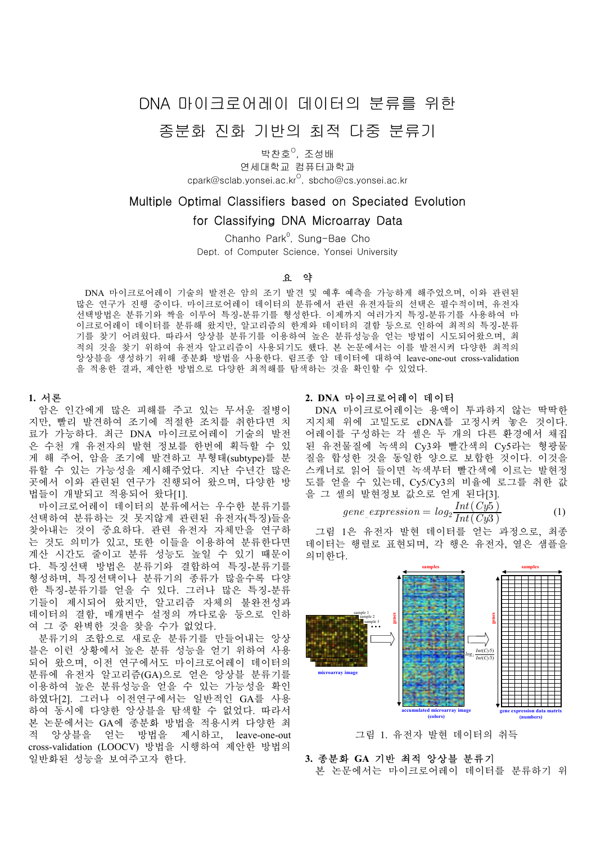# DNA 마이크로어레이 데이터의 분류를 위한

# 종분화 진화 가반의 치적 다중 분류가

박찬호<sup>0</sup>, 조성배

연세대학교 컴퓨터과학과 cpark@sclab.yonsei.ac.kr $^{\circ}$ , sbcho@cs.yonsei.ac.kr

# Multiple Optimal Classifiers based on Speciated Evolution

# for Classifying DNA Microarray Data

Chanho Park<sup>0</sup>, Sung-Bae Cho Dept. of Computer Science, Yonsei University

## 요 약

 DNA 마이크로어레이 기술의 발전은 암의 조기 발견 및 예후 예측을 가능하게 해주었으며, 이와 관련된 많은 연구가 진행 중이다. 마이크로어레이 데이터의 분류에서 관련 유전자들의 선택은 필수적이며, 유전자 선택방법은 분류기와 짝을 이루어 특징-분류기를 형성한다. 이제까지 여러가지 특징-분류기를 사용하여 마 이크로어레이 데이터를 분류해 왔지만, 알고리즘의 한계와 데이터의 결함 등으로 인하여 최적의 특징-분류 기를 찾기 어려웠다. 따라서 앙상블 분류기를 이용하여 높은 분류성능을 얻는 방법이 시도되어왔으며, 최 적의 것을 찾기 위하여 유전자 알고리즘이 사용되기도 했다. 본 논문에서는 이를 발전시켜 다양한 최적의 앙상블을 생성하기 위해 종분화 방법을 사용한다. 림프종 암 데이터에 대하여 leave-one-out cross-validation 을 적용한 결과, 제안한 방법으로 다양한 최적해를 탐색하는 것을 확인할 수 있었다.

## **1.** 서론

암은 인간에게 많은 피해를 주고 있는 무서운 질병이 지만, 빨리 발견하여 조기에 적절한 조치를 취한다면 치 료가 가능하다. 최근 DNA 마이크로어레이 기술의 발전 은 수천 개 유전자의 발현 정보를 한번에 획득할 수 있 게 해 주어, 암을 조기에 발견하고 부형태(subtype)를 분 류할 수 있는 가능성을 제시해주었다. 지난 수년간 많은 곳에서 이와 관련된 연구가 진행되어 왔으며, 다양한 방 법들이 개발되고 적용되어 왔다[1].

마이크로어레이 데이터의 분류에서는 우수한 분류기를 선택하여 분류하는 것 못지않게 관련된 유전자(특징)들을 찾아내는 것이 중요하다. 관련 유전자 자체만을 연구하 는 것도 의미가 있고, 또한 이들을 이용하여 분류한다면 계산 시간도 줄이고 분류 성능도 높일 수 있기 때문이 다. 특징선택 방법은 분류기와 결합하여 특징-분류기를 형성하며, 특징선택이나 분류기의 종류가 많을수록 다양 한 특징-분류기를 얻을 수 있다. 그러나 많은 특징-분류 기들이 제시되어 왔지만, 알고리즘 자체의 불완전성과 데이터의 결함, 매개변수 설정의 까다로움 등으로 인하 여 그 중 완벽한 것을 찾을 수가 없었다.

분류기의 조합으로 새로운 분류기를 만들어내는 앙상 블은 이런 상황에서 높은 분류 성능을 얻기 위하여 사용 되어 왔으며, 이전 연구에서도 마이크로어레이 데이터의 분류에 유전자 알고리즘(GA)으로 얻은 앙상블 분류기를 이용하여 높은 분류성능을 얻을 수 있는 가능성을 확인 하였다[2]. 그러나 이전연구에서는 일반적인 GA를 사용 하여 동시에 다양한 앙상블을 탐색할 수 없었다. 따라서 본 논문에서는 GA에 종분화 방법을 적용시켜 다양한 최 적 앙상블을 얻는 방법을 제시하고, leave-one-out cross-validation (LOOCV) 방법을 시행하여 제안한 방법의 일반화된 성능을 보여주고자 한다.

### **2. DNA** 마이크로어레이 데이터

 DNA 마이크로어레이는 용액이 투과하지 않는 딱딱한 지지체 위에 고밀도로 cDNA를 고정시켜 놓은 것이다. 어레이를 구성하는 각 셀은 두 개의 다른 환경에서 채집 된 유전물질에 녹색의 Cy3와 빨간색의 Cy5라는 형광물 질을 합성한 것을 동일한 양으로 보합한 것이다. 이것을 스캐너로 읽어 들이면 녹색부터 빨간색에 이르는 발현정 도를 얻을 수 있는데, Cy5/Cy3의 비율에 로그를 취한 값 을 그 셀의 발현정보 값으로 얻게 된다[3].

$$
gene\_expression = log_2 \frac{Int(Cy5)}{Int(Cy3)} \tag{1}
$$

그림 1은 유전자 발현 데이터를 얻는 과정으로, 최종 데이터는 행렬로 표현되며, 각 행은 유전자, 열은 샘플을 의미한다.



그림 1. 유전자 발현 데이터의 취득

## **3.** 종분화 **GA** 기반 최적 앙상블 분류기 본 논문에서는 마이크로어레이 데이터를 분류하기 위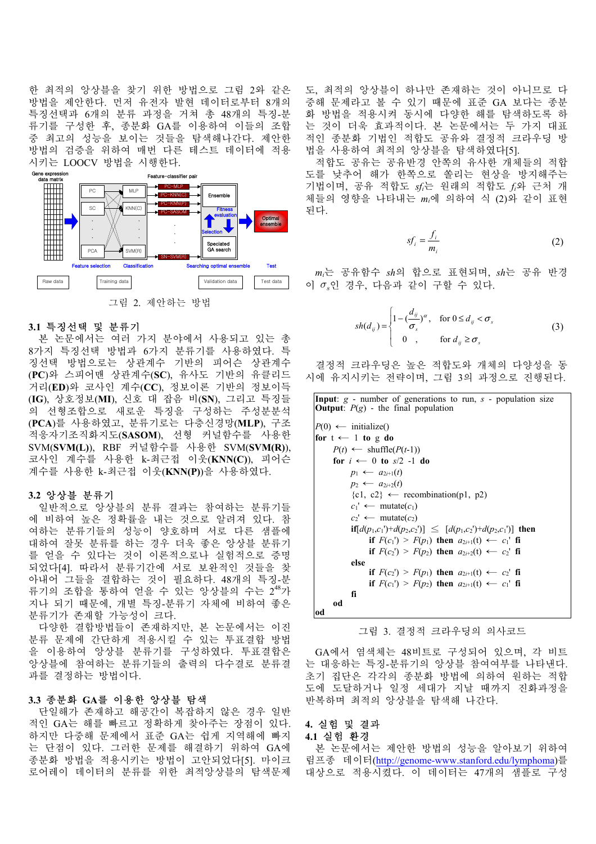한 최적의 앙상블을 찾기 위한 방법으로 그림 2와 같은 방법을 제안한다. 먼저 유전자 발현 데이터로부터 8개의 특징선택과 6개의 분류 과정을 거쳐 총 48개의 특징-분 류기를 구성한 후, 종분화 GA를 이용하여 이들의 조합 중 최고의 성능을 보이는 것들을 탐색해나간다. 제안한 방법의 검증을 위하여 매번 다른 테스트 데이터에 적용 시키는 LOOCV 방법을 시행한다.



그림 2. 제안하는 방법

# **3.1** 특징선택 및 분류기

본 논문에서는 여러 가지 분야에서 사용되고 있는 총 8가지 특징선택 방법과 6가지 분류기를 사용하였다. 특 징선택 방법으로는 상관계수 기반의 피어슨 상관계수 (**PC**)와 스피어맨 상관계수(**SC**), 유사도 기반의 유클리드 거리(**ED**)와 코사인 계수(**CC**), 정보이론 기반의 정보이득 (**IG**), 상호정보(**MI**), 신호 대 잡음 비(**SN**), 그리고 특징들 의 선형조합으로 새로운 특징을 구성하는 주성분분석 (**PCA**)를 사용하였고, 분류기로는 다층신경망(**MLP**), 구조 적응자기조직화지도(**SASOM**), 선형 커널함수를 사용한 SVM(**SVM(L)**), RBF 커널함수를 사용한 SVM(**SVM(R)**), 코사인 계수를 사용한 k-최근접 이웃(**KNN(C)**), 피어슨 계수를 사용한 k-최근접 이웃(**KNN(P)**)을 사용하였다.

#### **3.2** 앙상블 분류기

일반적으로 앙상블의 분류 결과는 참여하는 분류기들 에 비하여 높은 정확률을 내는 것으로 알려져 있다. 참 여하는 분류기들의 성능이 양호하며 서로 다른 샘플에 대하여 잘못 분류를 하는 경우 더욱 좋은 앙상블 분류기 를 얻을 수 있다는 것이 이론적으로나 실험적으로 증명 되었다[4]. 따라서 분류기간에 서로 보완적인 것들을 찾 아내어 그들을 결합하는 것이 필요하다. 48개의 특징-분 류기의 조합을 통하여 얻을 수 있는 앙상블의 수는 2\*\*가 지나 되기 때문에, 개별 특징-분류기 자체에 비하여 좋은 분류기가 존재할 가능성이 크다.

다양한 결합방법들이 존재하지만, 본 논문에서는 이진 분류 문제에 간단하게 적용시킬 수 있는 투표결합 방법 을 이용하여 앙상블 분류기를 구성하였다. 투표결합은 앙상블에 참여하는 분류기들의 출력의 다수결로 분류결 과를 결정하는 방법이다.

## **3.3** 종분화 **GA**를 이용한 앙상블 탐색

단일해가 존재하고 해공간이 복잡하지 않은 경우 일반 적인 GA는 해를 빠르고 정확하게 찾아주는 장점이 있다. 하지만 다중해 문제에서 표준 GA는 쉽게 지역해에 빠지 는 단점이 있다. 그러한 문제를 해결하기 위하여 GA에 종분화 방법을 적용시키는 방법이 고안되었다[5]. 마이크 로어레이 데이터의 분류를 위한 최적앙상블의 탐색문제

도, 최적의 앙상블이 하나만 존재하는 것이 아니므로 다 중해 문제라고 볼 수 있기 때문에 표준 GA 보다는 종분 화 방법을 적용시켜 동시에 다양한 해를 탐색하도록 하 는 것이 더욱 효과적이다. 본 논문에서는 두 가지 대표 적인 종분화 기법인 적합도 공유와 결정적 크라우딩 방 법을 사용하여 최적의 앙상블을 탐색하였다[5].

적합도 공유는 공유반경 안쪽의 유사한 개체들의 적합 도를 낮추어 해가 한쪽으로 쏠리는 현상을 방지해주는 기법이며, 공유 적합도 *sfi*는 원래의 적합도 *fi*와 근처 개 체들의 영향을 나타내는 *mi*에 의하여 식 (2)와 같이 표현 된다.

$$
sf_i = \frac{f_i}{m_i} \tag{2}
$$

*mi*는 공유함수 *sh*의 합으로 표현되며, *sh*는 공유 반경 이 *S*인 경우, 다음과 같이 구할 수 있다.

$$
sh(d_{ij}) = \begin{cases} 1 - \left(\frac{d_{ij}}{\sigma_s}\right)^{\alpha}, & \text{for } 0 \le d_{ij} < \sigma_s \\ 0, & \text{for } d_{ij} \ge \sigma_s \end{cases}
$$
 (3)

결정적 크라우딩은 높은 적합도와 개체의 다양성을 동 시에 유지시키는 전략이며, 그림 3의 과정으로 진행된다.

| <b>Input</b> : $g$ - number of generations to run, $s$ - population size<br><b>Output</b> : $P(g)$ - the final population |
|---------------------------------------------------------------------------------------------------------------------------|
| $P(0) \leftarrow$ initialize()                                                                                            |
| for $t \leftarrow 1$ to g do                                                                                              |
| $P(t) \leftarrow \text{shuffle}(P(t-1))$                                                                                  |
| for $i \leftarrow 0$ to $s/2$ -1 do                                                                                       |
| $p_1 \leftarrow a_{2i+1}(t)$                                                                                              |
| $p_2 \leftarrow a_{2i+2}(t)$                                                                                              |
| $\{c1, c2\} \leftarrow$ recombination(p1, p2)                                                                             |
| $c_1' \leftarrow \text{mutate}(c_1)$                                                                                      |
| $c_2' \leftarrow \text{mutate}(c_2)$                                                                                      |
| $if [d(p_1,c_1')+d(p_2,c_2')] \leq [d(p_1,c_2')+d(p_2,c_1')]$ then                                                        |
| if $F(c_1) > F(p_1)$ then $a_{2i+1}(t) \leftarrow c_1$ ' fi                                                               |
| if $F(c_2) > F(p_2)$ then $a_{2i+2}(t) \leftarrow c_2$ fi                                                                 |
| else                                                                                                                      |
| if $F(c_2') > F(p_1)$ then $a_{2i+1}(t) \leftarrow c_2'$ fi                                                               |
| if $F(c_1') > F(p_2)$ then $a_{2i+1}(t) \leftarrow c_1'$ fi                                                               |
| fi                                                                                                                        |
| od<br>od                                                                                                                  |
|                                                                                                                           |

그림 3. 결정적 크라우딩의 의사코드

 GA에서 염색체는 48비트로 구성되어 있으며, 각 비트 는 대응하는 특징-분류기의 앙상블 참여여부를 나타낸다. 초기 집단은 각각의 종분화 방법에 의하여 원하는 적합 도에 도달하거나 일정 세대가 지날 때까지 진화과정을 반복하며 최적의 앙상블을 탐색해 나간다.

# **4.** 실험 및 결과

#### **4.1** 실험 환경

본 논문에서는 제안한 방법의 성능을 알아보기 위하여 림프종 데이터(http://genome-www.stanford.edu/lymphoma)를 대상으로 적용시켰다. 이 데이터는 47개의 샘플로 구성